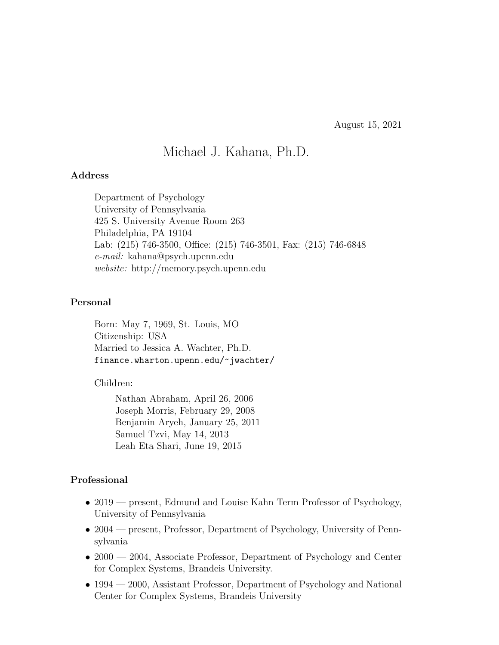August 15, 2021

# Michael J. Kahana, Ph.D.

#### Address

Department of Psychology University of Pennsylvania 425 S. University Avenue Room 263 Philadelphia, PA 19104 Lab: (215) 746-3500, Office: (215) 746-3501, Fax: (215) 746-6848 e-mail: kahana@psych.upenn.edu website: http://memory.psych.upenn.edu

### Personal

Born: May 7, 1969, St. Louis, MO Citizenship: USA Married to Jessica A. Wachter, Ph.D. finance.wharton.upenn.edu/~jwachter/

Children:

Nathan Abraham, April 26, 2006 Joseph Morris, February 29, 2008 Benjamin Aryeh, January 25, 2011 Samuel Tzvi, May 14, 2013 Leah Eta Shari, June 19, 2015

### Professional

- 2019 present, Edmund and Louise Kahn Term Professor of Psychology, University of Pennsylvania
- 2004 present, Professor, Department of Psychology, University of Pennsylvania
- 2000 2004, Associate Professor, Department of Psychology and Center for Complex Systems, Brandeis University.
- 1994 2000, Assistant Professor, Department of Psychology and National Center for Complex Systems, Brandeis University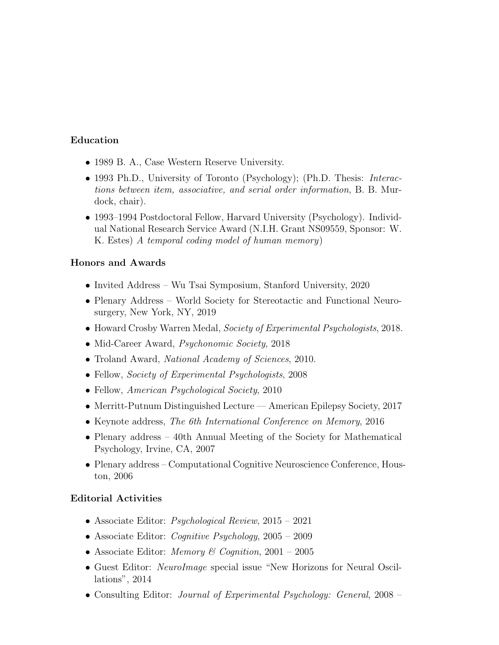## Education

- 1989 B. A., Case Western Reserve University.
- 1993 Ph.D., University of Toronto (Psychology); (Ph.D. Thesis: *Interac*tions between item, associative, and serial order information, B. B. Murdock, chair).
- 1993–1994 Postdoctoral Fellow, Harvard University (Psychology). Individual National Research Service Award (N.I.H. Grant NS09559, Sponsor: W. K. Estes) A temporal coding model of human memory)

### Honors and Awards

- Invited Address Wu Tsai Symposium, Stanford University, 2020
- Plenary Address World Society for Stereotactic and Functional Neurosurgery, New York, NY, 2019
- Howard Crosby Warren Medal, Society of Experimental Psychologists, 2018.
- Mid-Career Award, *Psychonomic Society*, 2018
- Troland Award, *National Academy of Sciences*, 2010.
- Fellow, *Society of Experimental Psychologists*, 2008
- Fellow, American Psychological Society, 2010
- Merritt-Putnum Distinguished Lecture American Epilepsy Society, 2017
- Keynote address, The 6th International Conference on Memory, 2016
- Plenary address 40th Annual Meeting of the Society for Mathematical Psychology, Irvine, CA, 2007
- Plenary address Computational Cognitive Neuroscience Conference, Houston, 2006

#### Editorial Activities

- Associate Editor: *Psychological Review*, 2015 2021
- Associate Editor: *Cognitive Psychology*, 2005 2009
- Associate Editor: *Memory & Cognition*,  $2001 2005$
- Guest Editor: *NeuroImage* special issue "New Horizons for Neural Oscillations", 2014
- Consulting Editor: Journal of Experimental Psychology: General, 2008 –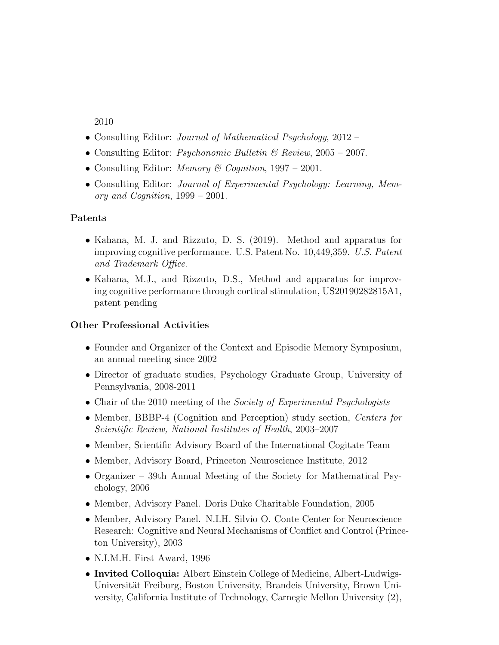2010

- Consulting Editor: *Journal of Mathematical Psychology*, 2012 –
- Consulting Editor: *Psychonomic Bulletin*  $\mathcal{B}$  *Review*, 2005 2007.
- Consulting Editor: *Memory & Cognition*, 1997 2001.
- Consulting Editor: Journal of Experimental Psychology: Learning, Memory and Cognition, 1999 – 2001.

### Patents

- Kahana, M. J. and Rizzuto, D. S. (2019). Method and apparatus for improving cognitive performance. U.S. Patent No. 10,449,359. U.S. Patent and Trademark Office.
- Kahana, M.J., and Rizzuto, D.S., Method and apparatus for improving cognitive performance through cortical stimulation, US20190282815A1, patent pending

# Other Professional Activities

- Founder and Organizer of the Context and Episodic Memory Symposium, an annual meeting since 2002
- Director of graduate studies, Psychology Graduate Group, University of Pennsylvania, 2008-2011
- Chair of the 2010 meeting of the *Society of Experimental Psychologists*
- Member, BBBP-4 (Cognition and Perception) study section, Centers for Scientific Review, National Institutes of Health, 2003–2007
- Member, Scientific Advisory Board of the International Cogitate Team
- Member, Advisory Board, Princeton Neuroscience Institute, 2012
- Organizer 39th Annual Meeting of the Society for Mathematical Psychology, 2006
- Member, Advisory Panel. Doris Duke Charitable Foundation, 2005
- Member, Advisory Panel. N.I.H. Silvio O. Conte Center for Neuroscience Research: Cognitive and Neural Mechanisms of Conflict and Control (Princeton University), 2003
- N.I.M.H. First Award, 1996
- Invited Colloquia: Albert Einstein College of Medicine, Albert-Ludwigs-Universität Freiburg, Boston University, Brandeis University, Brown University, California Institute of Technology, Carnegie Mellon University (2),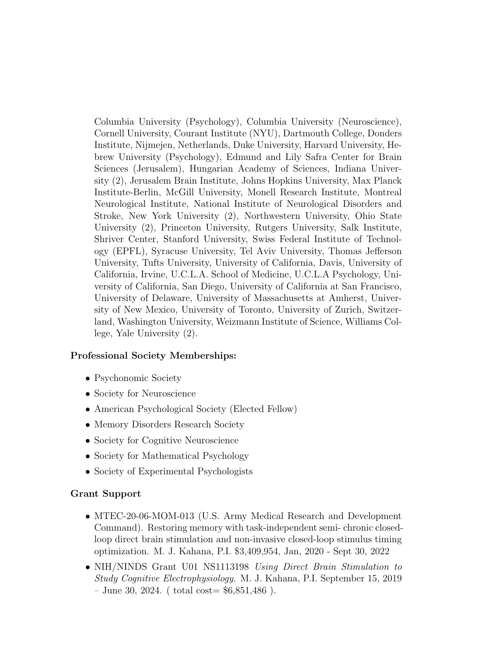Columbia University (Psychology), Columbia University (Neuroscience), Cornell University, Courant Institute (NYU), Dartmouth College, Donders Institute, Nijmejen, Netherlands, Duke University, Harvard University, Hebrew University (Psychology), Edmund and Lily Safra Center for Brain Sciences (Jerusalem), Hungarian Academy of Sciences, Indiana University (2), Jerusalem Brain Institute, Johns Hopkins University, Max Planck Institute-Berlin, McGill University, Monell Research Institute, Montreal Neurological Institute, National Institute of Neurological Disorders and Stroke, New York University (2), Northwestern University, Ohio State University (2), Princeton University, Rutgers University, Salk Institute, Shriver Center, Stanford University, Swiss Federal Institute of Technology (EPFL), Syracuse University, Tel Aviv University, Thomas Jefferson University, Tufts University, University of California, Davis, University of California, Irvine, U.C.L.A. School of Medicine, U.C.L.A Psychology, University of California, San Diego, University of California at San Francisco, University of Delaware, University of Massachusetts at Amherst, University of New Mexico, University of Toronto, University of Zurich, Switzerland, Washington University, Weizmann Institute of Science, Williams College, Yale University (2).

#### Professional Society Memberships:

- Psychonomic Society
- Society for Neuroscience
- American Psychological Society (Elected Fellow)
- Memory Disorders Research Society
- Society for Cognitive Neuroscience
- Society for Mathematical Psychology
- Society of Experimental Psychologists

#### Grant Support

- MTEC-20-06-MOM-013 (U.S. Army Medical Research and Development Command). Restoring memory with task-independent semi- chronic closedloop direct brain stimulation and non-invasive closed-loop stimulus timing optimization. M. J. Kahana, P.I. \$3,409,954, Jan, 2020 - Sept 30, 2022
- NIH/NINDS Grant U01 NS1113198 Using Direct Brain Stimulation to Study Cognitive Electrophysiology. M. J. Kahana, P.I. September 15, 2019  $-$  June 30, 2024. (total cost=  $$6,851,486$ ).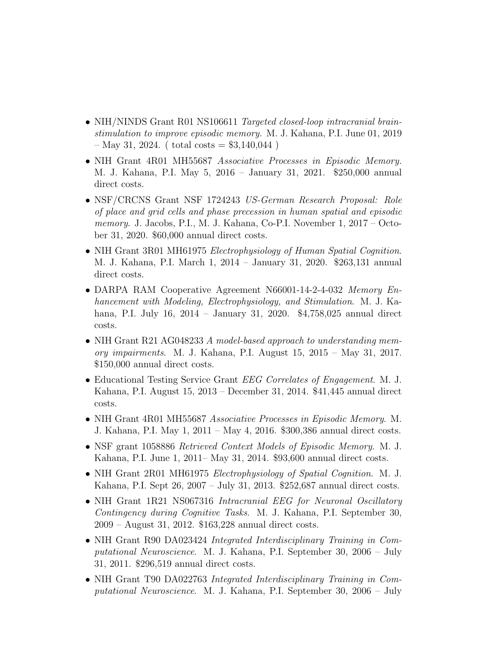- NIH/NINDS Grant R01 NS106611 Targeted closed-loop intracranial brainstimulation to improve episodic memory. M. J. Kahana, P.I. June 01, 2019  $-$  May 31, 2024. ( total costs  $=$  \$3,140,044 )
- NIH Grant 4R01 MH55687 Associative Processes in Episodic Memory. M. J. Kahana, P.I. May 5, 2016 – January 31, 2021. \$250,000 annual direct costs.
- NSF/CRCNS Grant NSF 1724243 US-German Research Proposal: Role of place and grid cells and phase precession in human spatial and episodic memory. J. Jacobs, P.I., M. J. Kahana, Co-P.I. November 1, 2017 – October 31, 2020. \$60,000 annual direct costs.
- NIH Grant 3R01 MH61975 Electrophysiology of Human Spatial Cognition. M. J. Kahana, P.I. March 1, 2014 – January 31, 2020. \$263,131 annual direct costs.
- DARPA RAM Cooperative Agreement N66001-14-2-4-032 Memory Enhancement with Modeling, Electrophysiology, and Stimulation. M. J. Kahana, P.I. July 16, 2014 – January 31, 2020. \$4,758,025 annual direct costs.
- NIH Grant R21 AG048233 A model-based approach to understanding memory impairments. M. J. Kahana, P.I. August 15, 2015 – May 31, 2017. \$150,000 annual direct costs.
- Educational Testing Service Grant *EEG Correlates of Engagement*. M. J. Kahana, P.I. August 15, 2013 – December 31, 2014. \$41,445 annual direct costs.
- NIH Grant 4R01 MH55687 Associative Processes in Episodic Memory. M. J. Kahana, P.I. May 1, 2011 – May 4, 2016. \$300,386 annual direct costs.
- NSF grant 1058886 Retrieved Context Models of Episodic Memory. M. J. Kahana, P.I. June 1, 2011– May 31, 2014. \$93,600 annual direct costs.
- NIH Grant 2R01 MH61975 *Electrophysiology of Spatial Cognition*. M. J. Kahana, P.I. Sept 26, 2007 – July 31, 2013. \$252,687 annual direct costs.
- NIH Grant 1R21 NS067316 Intracranial EEG for Neuronal Oscillatory Contingency during Cognitive Tasks. M. J. Kahana, P.I. September 30, 2009 – August 31, 2012. \$163,228 annual direct costs.
- NIH Grant R90 DA023424 *Integrated Interdisciplinary Training in Com*putational Neuroscience. M. J. Kahana, P.I. September 30, 2006 – July 31, 2011. \$296,519 annual direct costs.
- NIH Grant T90 DA022763 Integrated Interdisciplinary Training in Computational Neuroscience. M. J. Kahana, P.I. September 30, 2006 – July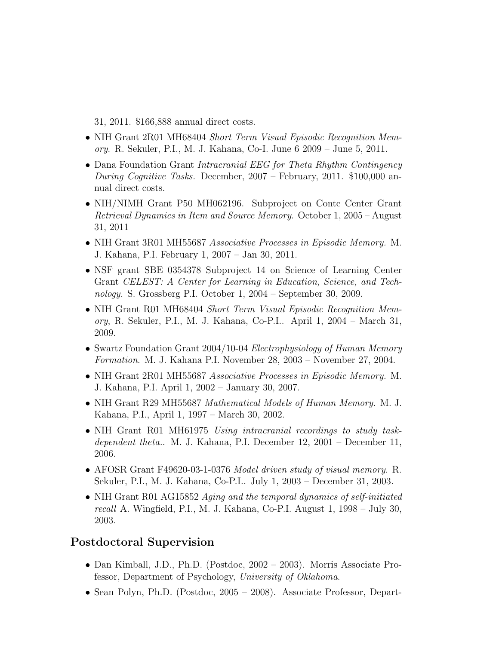31, 2011. \$166,888 annual direct costs.

- NIH Grant 2R01 MH68404 Short Term Visual Episodic Recognition Memory. R. Sekuler, P.I., M. J. Kahana, Co-I. June 6 2009 – June 5, 2011.
- Dana Foundation Grant Intracranial EEG for Theta Rhythm Contingency During Cognitive Tasks. December, 2007 – February, 2011. \$100,000 annual direct costs.
- NIH/NIMH Grant P50 MH062196. Subproject on Conte Center Grant Retrieval Dynamics in Item and Source Memory. October 1, 2005 – August 31, 2011
- NIH Grant 3R01 MH55687 Associative Processes in Episodic Memory. M. J. Kahana, P.I. February 1, 2007 – Jan 30, 2011.
- NSF grant SBE 0354378 Subproject 14 on Science of Learning Center Grant CELEST: A Center for Learning in Education, Science, and Technology. S. Grossberg P.I. October 1, 2004 – September 30, 2009.
- NIH Grant R01 MH68404 Short Term Visual Episodic Recognition Memory, R. Sekuler, P.I., M. J. Kahana, Co-P.I.. April 1, 2004 – March 31, 2009.
- Swartz Foundation Grant 2004/10-04 Electrophysiology of Human Memory Formation. M. J. Kahana P.I. November 28, 2003 – November 27, 2004.
- NIH Grant 2R01 MH55687 Associative Processes in Episodic Memory. M. J. Kahana, P.I. April 1, 2002 – January 30, 2007.
- NIH Grant R29 MH55687 Mathematical Models of Human Memory. M. J. Kahana, P.I., April 1, 1997 – March 30, 2002.
- NIH Grant R01 MH61975 Using intracranial recordings to study taskdependent theta.. M. J. Kahana, P.I. December 12, 2001 – December 11, 2006.
- AFOSR Grant F49620-03-1-0376 Model driven study of visual memory. R. Sekuler, P.I., M. J. Kahana, Co-P.I.. July 1, 2003 – December 31, 2003.
- NIH Grant R01 AG15852 Aging and the temporal dynamics of self-initiated recall A. Wingfield, P.I., M. J. Kahana, Co-P.I. August 1, 1998 – July 30, 2003.

# Postdoctoral Supervision

- Dan Kimball, J.D., Ph.D. (Postdoc, 2002 2003). Morris Associate Professor, Department of Psychology, University of Oklahoma.
- Sean Polyn, Ph.D. (Postdoc, 2005 2008). Associate Professor, Depart-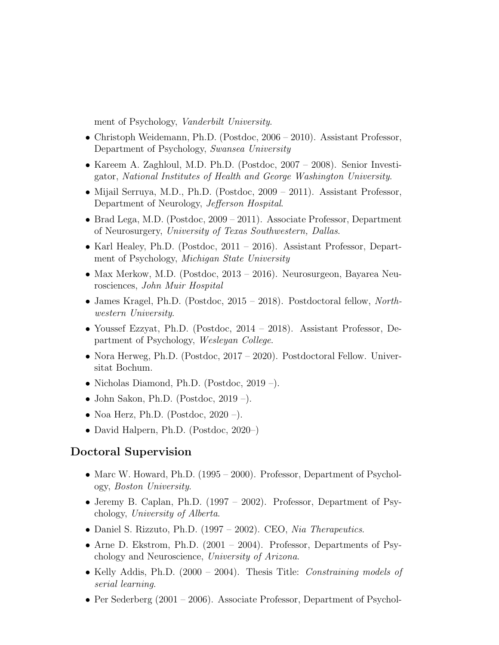ment of Psychology, Vanderbilt University.

- Christoph Weidemann, Ph.D. (Postdoc, 2006 2010). Assistant Professor, Department of Psychology, Swansea University
- Kareem A. Zaghloul, M.D. Ph.D. (Postdoc, 2007 2008). Senior Investigator, National Institutes of Health and George Washington University.
- Mijail Serruya, M.D., Ph.D. (Postdoc, 2009 2011). Assistant Professor, Department of Neurology, Jefferson Hospital.
- Brad Lega, M.D. (Postdoc, 2009 2011). Associate Professor, Department of Neurosurgery, University of Texas Southwestern, Dallas.
- Karl Healey, Ph.D. (Postdoc, 2011 2016). Assistant Professor, Department of Psychology, Michigan State University
- Max Merkow, M.D. (Postdoc, 2013 2016). Neurosurgeon, Bayarea Neurosciences, John Muir Hospital
- James Kragel, Ph.D. (Postdoc, 2015 2018). Postdoctoral fellow, Northwestern University.
- Youssef Ezzyat, Ph.D. (Postdoc, 2014 2018). Assistant Professor, Department of Psychology, Wesleyan College.
- Nora Herweg, Ph.D. (Postdoc, 2017 2020). Postdoctoral Fellow. Universitat Bochum.
- Nicholas Diamond, Ph.D. (Postdoc, 2019 –).
- John Sakon, Ph.D. (Postdoc,  $2019 -$ ).
- Noa Herz, Ph.D. (Postdoc,  $2020 -$ ).
- David Halpern, Ph.D. (Postdoc, 2020–)

# Doctoral Supervision

- Marc W. Howard, Ph.D. (1995 2000). Professor, Department of Psychology, Boston University.
- Jeremy B. Caplan, Ph.D. (1997 2002). Professor, Department of Psychology, University of Alberta.
- Daniel S. Rizzuto, Ph.D. (1997 2002). CEO, Nia Therapeutics.
- Arne D. Ekstrom, Ph.D. (2001 2004). Professor, Departments of Psychology and Neuroscience, University of Arizona.
- Kelly Addis, Ph.D. (2000 2004). Thesis Title: *Constraining models of* serial learning.
- Per Sederberg (2001 2006). Associate Professor, Department of Psychol-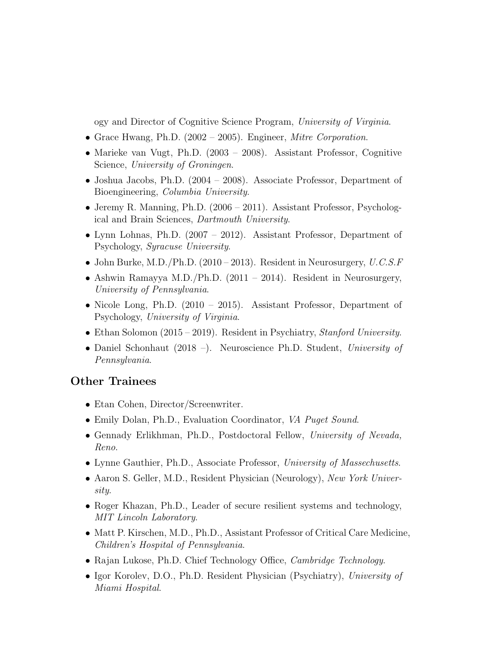ogy and Director of Cognitive Science Program, University of Virginia.

- Grace Hwang, Ph.D. (2002 2005). Engineer, Mitre Corporation.
- Marieke van Vugt, Ph.D. (2003 2008). Assistant Professor, Cognitive Science, University of Groningen.
- Joshua Jacobs, Ph.D. (2004 2008). Associate Professor, Department of Bioengineering, Columbia University.
- Jeremy R. Manning, Ph.D.  $(2006 2011)$ . Assistant Professor, Psychological and Brain Sciences, Dartmouth University.
- Lynn Lohnas, Ph.D. (2007 2012). Assistant Professor, Department of Psychology, Syracuse University.
- John Burke, M.D./Ph.D. (2010 2013). Resident in Neurosurgery,  $U.C.S.F$
- Ashwin Ramayya M.D./Ph.D.  $(2011 2014)$ . Resident in Neurosurgery, University of Pennsylvania.
- Nicole Long, Ph.D. (2010 2015). Assistant Professor, Department of Psychology, University of Virginia.
- Ethan Solomon  $(2015 2019)$ . Resident in Psychiatry, Stanford University.
- Daniel Schonhaut (2018 –). Neuroscience Ph.D. Student, University of Pennsylvania.

# Other Trainees

- Etan Cohen, Director/Screenwriter.
- Emily Dolan, Ph.D., Evaluation Coordinator, VA Puget Sound.
- Gennady Erlikhman, Ph.D., Postdoctoral Fellow, University of Nevada, Reno.
- Lynne Gauthier, Ph.D., Associate Professor, University of Massechusetts.
- Aaron S. Geller, M.D., Resident Physician (Neurology), New York University.
- Roger Khazan, Ph.D., Leader of secure resilient systems and technology, MIT Lincoln Laboratory.
- Matt P. Kirschen, M.D., Ph.D., Assistant Professor of Critical Care Medicine, Children's Hospital of Pennsylvania.
- Rajan Lukose, Ph.D. Chief Technology Office, *Cambridge Technology*.
- Igor Korolev, D.O., Ph.D. Resident Physician (Psychiatry), University of Miami Hospital.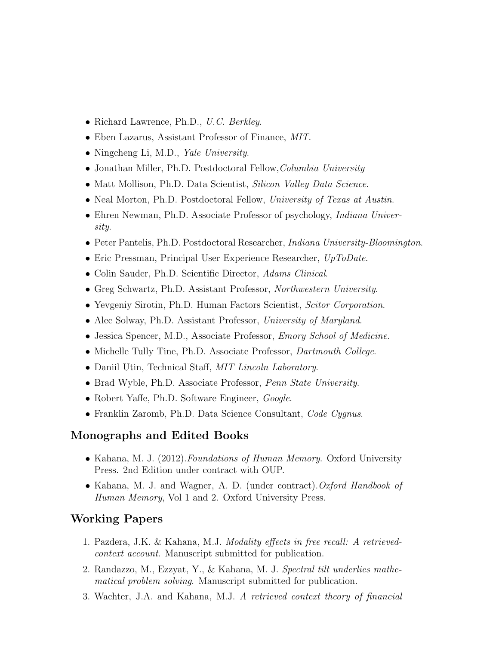- Richard Lawrence, Ph.D., U.C. Berkley.
- Eben Lazarus, Assistant Professor of Finance, MIT.
- Ningcheng Li, M.D., *Yale University*.
- Jonathan Miller, Ph.D. Postdoctoral Fellow, Columbia University
- Matt Mollison, Ph.D. Data Scientist, Silicon Valley Data Science.
- Neal Morton, Ph.D. Postdoctoral Fellow, University of Texas at Austin.
- Ehren Newman, Ph.D. Associate Professor of psychology, *Indiana Univer*sity.
- Peter Pantelis, Ph.D. Postdoctoral Researcher, *Indiana University-Bloomington*.
- Eric Pressman, Principal User Experience Researcher, UpToDate.
- Colin Sauder, Ph.D. Scientific Director, Adams Clinical.
- Greg Schwartz, Ph.D. Assistant Professor, *Northwestern University*.
- Yevgeniy Sirotin, Ph.D. Human Factors Scientist, Scitor Corporation.
- Alec Solway, Ph.D. Assistant Professor, University of Maryland.
- Jessica Spencer, M.D., Associate Professor, Emory School of Medicine.
- Michelle Tully Tine, Ph.D. Associate Professor, *Dartmouth College*.
- Daniil Utin, Technical Staff, MIT Lincoln Laboratory.
- Brad Wyble, Ph.D. Associate Professor, *Penn State University*.
- Robert Yaffe, Ph.D. Software Engineer, Google.
- Franklin Zaromb, Ph.D. Data Science Consultant, Code Cygnus.

# Monographs and Edited Books

- Kahana, M. J. (2012). Foundations of Human Memory. Oxford University Press. 2nd Edition under contract with OUP.
- Kahana, M. J. and Wagner, A. D. (under contract). Oxford Handbook of Human Memory, Vol 1 and 2. Oxford University Press.

# Working Papers

- 1. Pazdera, J.K. & Kahana, M.J. Modality effects in free recall: A retrievedcontext account. Manuscript submitted for publication.
- 2. Randazzo, M., Ezzyat, Y., & Kahana, M. J. Spectral tilt underlies mathematical problem solving. Manuscript submitted for publication.
- 3. Wachter, J.A. and Kahana, M.J. A retrieved context theory of financial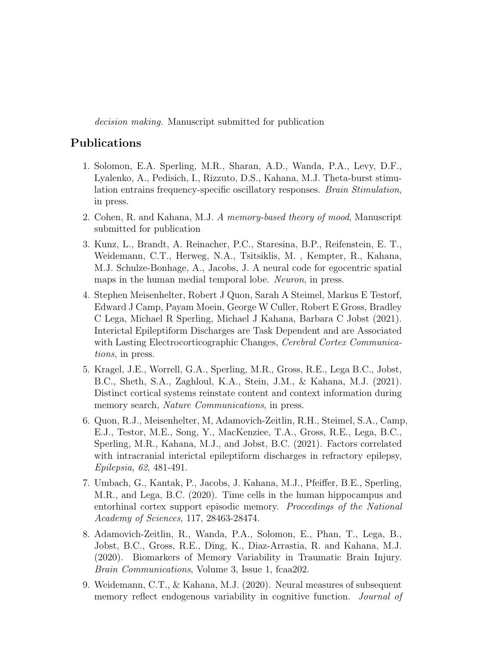decision making. Manuscript submitted for publication

# Publications

- 1. Solomon, E.A. Sperling, M.R., Sharan, A.D., Wanda, P.A., Levy, D.F., Lyalenko, A., Pedisich, I., Rizzuto, D.S., Kahana, M.J. Theta-burst stimulation entrains frequency-specific oscillatory responses. Brain Stimulation, in press.
- 2. Cohen, R. and Kahana, M.J. A memory-based theory of mood, Manuscript submitted for publication
- 3. Kunz, L., Brandt, A. Reinacher, P.C., Staresina, B.P., Reifenstein, E. T., Weidemann, C.T., Herweg, N.A., Tsitsiklis, M. , Kempter, R., Kahana, M.J. Schulze-Bonhage, A., Jacobs, J. A neural code for egocentric spatial maps in the human medial temporal lobe. Neuron, in press.
- 4. Stephen Meisenhelter, Robert J Quon, Sarah A Steimel, Markus E Testorf, Edward J Camp, Payam Moein, George W Culler, Robert E Gross, Bradley C Lega, Michael R Sperling, Michael J Kahana, Barbara C Jobst (2021). Interictal Epileptiform Discharges are Task Dependent and are Associated with Lasting Electrocorticographic Changes, Cerebral Cortex Communications, in press.
- 5. Kragel, J.E., Worrell, G.A., Sperling, M.R., Gross, R.E., Lega B.C., Jobst, B.C., Sheth, S.A., Zaghloul, K.A., Stein, J.M., & Kahana, M.J. (2021). Distinct cortical systems reinstate content and context information during memory search, *Nature Communications*, in press.
- 6. Quon, R.J., Meisenhelter, M, Adamovich-Zeitlin, R.H., Steimel, S.A., Camp, E.J., Testor, M.E., Song, Y., MacKenziee, T.A., Gross, R.E., Lega, B.C., Sperling, M.R., Kahana, M.J., and Jobst, B.C. (2021). Factors correlated with intracranial interictal epileptiform discharges in refractory epilepsy, Epilepsia, 62, 481-491.
- 7. Umbach, G., Kantak, P., Jacobs, J. Kahana, M.J., Pfeiffer, B.E., Sperling, M.R., and Lega, B.C. (2020). Time cells in the human hippocampus and entorhinal cortex support episodic memory. Proceedings of the National Academy of Sciences, 117, 28463-28474.
- 8. Adamovich-Zeitlin, R., Wanda, P.A., Solomon, E., Phan, T., Lega, B., Jobst, B.C., Gross, R.E., Ding, K., Diaz-Arrastia, R. and Kahana, M.J. (2020). Biomarkers of Memory Variability in Traumatic Brain Injury. Brain Communications, Volume 3, Issue 1, fcaa202.
- 9. Weidemann, C.T., & Kahana, M.J. (2020). Neural measures of subsequent memory reflect endogenous variability in cognitive function. Journal of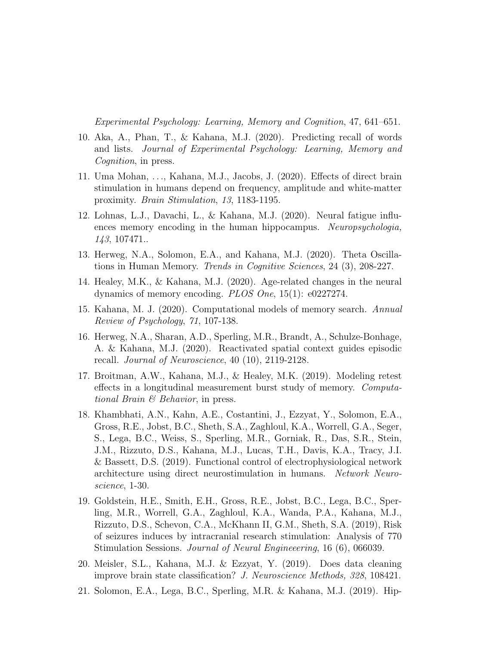Experimental Psychology: Learning, Memory and Cognition, 47, 641–651.

- 10. Aka, A., Phan, T., & Kahana, M.J. (2020). Predicting recall of words and lists. Journal of Experimental Psychology: Learning, Memory and Cognition, in press.
- 11. Uma Mohan, . . ., Kahana, M.J., Jacobs, J. (2020). Effects of direct brain stimulation in humans depend on frequency, amplitude and white-matter proximity. Brain Stimulation, 13, 1183-1195.
- 12. Lohnas, L.J., Davachi, L., & Kahana, M.J. (2020). Neural fatigue influences memory encoding in the human hippocampus. Neuropsychologia, 143, 107471..
- 13. Herweg, N.A., Solomon, E.A., and Kahana, M.J. (2020). Theta Oscillations in Human Memory. Trends in Cognitive Sciences, 24 (3), 208-227.
- 14. Healey, M.K., & Kahana, M.J. (2020). Age-related changes in the neural dynamics of memory encoding. PLOS One, 15(1): e0227274.
- 15. Kahana, M. J. (2020). Computational models of memory search. Annual Review of Psychology, 71, 107-138.
- 16. Herweg, N.A., Sharan, A.D., Sperling, M.R., Brandt, A., Schulze-Bonhage, A. & Kahana, M.J. (2020). Reactivated spatial context guides episodic recall. Journal of Neuroscience, 40 (10), 2119-2128.
- 17. Broitman, A.W., Kahana, M.J., & Healey, M.K. (2019). Modeling retest effects in a longitudinal measurement burst study of memory. Computational Brain  $\mathcal B$  Behavior, in press.
- 18. Khambhati, A.N., Kahn, A.E., Costantini, J., Ezzyat, Y., Solomon, E.A., Gross, R.E., Jobst, B.C., Sheth, S.A., Zaghloul, K.A., Worrell, G.A., Seger, S., Lega, B.C., Weiss, S., Sperling, M.R., Gorniak, R., Das, S.R., Stein, J.M., Rizzuto, D.S., Kahana, M.J., Lucas, T.H., Davis, K.A., Tracy, J.I. & Bassett, D.S. (2019). Functional control of electrophysiological network architecture using direct neurostimulation in humans. Network Neuroscience, 1-30.
- 19. Goldstein, H.E., Smith, E.H., Gross, R.E., Jobst, B.C., Lega, B.C., Sperling, M.R., Worrell, G.A., Zaghloul, K.A., Wanda, P.A., Kahana, M.J., Rizzuto, D.S., Schevon, C.A., McKhann II, G.M., Sheth, S.A. (2019), Risk of seizures induces by intracranial research stimulation: Analysis of 770 Stimulation Sessions. Journal of Neural Engineeering, 16 (6), 066039.
- 20. Meisler, S.L., Kahana, M.J. & Ezzyat, Y. (2019). Does data cleaning improve brain state classification? J. Neuroscience Methods, 328, 108421.
- 21. Solomon, E.A., Lega, B.C., Sperling, M.R. & Kahana, M.J. (2019). Hip-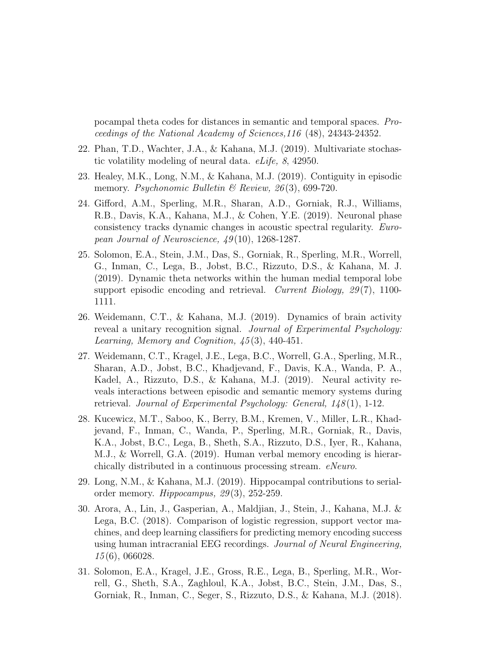pocampal theta codes for distances in semantic and temporal spaces. Proceedings of the National Academy of Sciences,116 (48), 24343-24352.

- 22. Phan, T.D., Wachter, J.A., & Kahana, M.J. (2019). Multivariate stochastic volatility modeling of neural data. eLife, 8, 42950.
- 23. Healey, M.K., Long, N.M., & Kahana, M.J. (2019). Contiguity in episodic memory. Psychonomic Bulletin & Review, 26(3), 699-720.
- 24. Gifford, A.M., Sperling, M.R., Sharan, A.D., Gorniak, R.J., Williams, R.B., Davis, K.A., Kahana, M.J., & Cohen, Y.E. (2019). Neuronal phase consistency tracks dynamic changes in acoustic spectral regularity. European Journal of Neuroscience, 49 (10), 1268-1287.
- 25. Solomon, E.A., Stein, J.M., Das, S., Gorniak, R., Sperling, M.R., Worrell, G., Inman, C., Lega, B., Jobst, B.C., Rizzuto, D.S., & Kahana, M. J. (2019). Dynamic theta networks within the human medial temporal lobe support episodic encoding and retrieval. Current Biology,  $29(7)$ , 1100-1111.
- 26. Weidemann, C.T., & Kahana, M.J. (2019). Dynamics of brain activity reveal a unitary recognition signal. Journal of Experimental Psychology: Learning, Memory and Cognition, 45 (3), 440-451.
- 27. Weidemann, C.T., Kragel, J.E., Lega, B.C., Worrell, G.A., Sperling, M.R., Sharan, A.D., Jobst, B.C., Khadjevand, F., Davis, K.A., Wanda, P. A., Kadel, A., Rizzuto, D.S., & Kahana, M.J. (2019). Neural activity reveals interactions between episodic and semantic memory systems during retrieval. Journal of Experimental Psychology: General, 148 (1), 1-12.
- 28. Kucewicz, M.T., Saboo, K., Berry, B.M., Kremen, V., Miller, L.R., Khadjevand, F., Inman, C., Wanda, P., Sperling, M.R., Gorniak, R., Davis, K.A., Jobst, B.C., Lega, B., Sheth, S.A., Rizzuto, D.S., Iyer, R., Kahana, M.J., & Worrell, G.A. (2019). Human verbal memory encoding is hierarchically distributed in a continuous processing stream. eNeuro.
- 29. Long, N.M., & Kahana, M.J. (2019). Hippocampal contributions to serialorder memory. *Hippocampus*,  $29(3)$ , 252-259.
- 30. Arora, A., Lin, J., Gasperian, A., Maldjian, J., Stein, J., Kahana, M.J. & Lega, B.C. (2018). Comparison of logistic regression, support vector machines, and deep learning classifiers for predicting memory encoding success using human intracranial EEG recordings. Journal of Neural Engineering, 15 (6), 066028.
- 31. Solomon, E.A., Kragel, J.E., Gross, R.E., Lega, B., Sperling, M.R., Worrell, G., Sheth, S.A., Zaghloul, K.A., Jobst, B.C., Stein, J.M., Das, S., Gorniak, R., Inman, C., Seger, S., Rizzuto, D.S., & Kahana, M.J. (2018).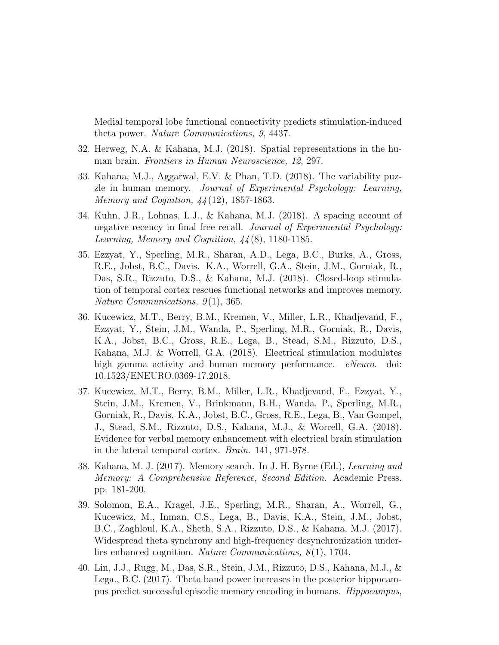Medial temporal lobe functional connectivity predicts stimulation-induced theta power. Nature Communications, 9, 4437.

- 32. Herweg, N.A. & Kahana, M.J. (2018). Spatial representations in the human brain. Frontiers in Human Neuroscience, 12, 297.
- 33. Kahana, M.J., Aggarwal, E.V. & Phan, T.D. (2018). The variability puzzle in human memory. Journal of Experimental Psychology: Learning, Memory and Cognition, 44 (12), 1857-1863.
- 34. Kuhn, J.R., Lohnas, L.J., & Kahana, M.J. (2018). A spacing account of negative recency in final free recall. Journal of Experimental Psychology: Learning, Memory and Cognition,  $\frac{1}{4}(8)$ , 1180-1185.
- 35. Ezzyat, Y., Sperling, M.R., Sharan, A.D., Lega, B.C., Burks, A., Gross, R.E., Jobst, B.C., Davis. K.A., Worrell, G.A., Stein, J.M., Gorniak, R., Das, S.R., Rizzuto, D.S., & Kahana, M.J. (2018). Closed-loop stimulation of temporal cortex rescues functional networks and improves memory. Nature Communications,  $9(1)$ , 365.
- 36. Kucewicz, M.T., Berry, B.M., Kremen, V., Miller, L.R., Khadjevand, F., Ezzyat, Y., Stein, J.M., Wanda, P., Sperling, M.R., Gorniak, R., Davis, K.A., Jobst, B.C., Gross, R.E., Lega, B., Stead, S.M., Rizzuto, D.S., Kahana, M.J. & Worrell, G.A. (2018). Electrical stimulation modulates high gamma activity and human memory performance. eNeuro. doi: 10.1523/ENEURO.0369-17.2018.
- 37. Kucewicz, M.T., Berry, B.M., Miller, L.R., Khadjevand, F., Ezzyat, Y., Stein, J.M., Kremen, V., Brinkmann, B.H., Wanda, P., Sperling, M.R., Gorniak, R., Davis. K.A., Jobst, B.C., Gross, R.E., Lega, B., Van Gompel, J., Stead, S.M., Rizzuto, D.S., Kahana, M.J., & Worrell, G.A. (2018). Evidence for verbal memory enhancement with electrical brain stimulation in the lateral temporal cortex. Brain. 141, 971-978.
- 38. Kahana, M. J. (2017). Memory search. In J. H. Byrne (Ed.), Learning and Memory: A Comprehensive Reference, Second Edition. Academic Press. pp. 181-200.
- 39. Solomon, E.A., Kragel, J.E., Sperling, M.R., Sharan, A., Worrell, G., Kucewicz, M., Inman, C.S., Lega, B., Davis, K.A., Stein, J.M., Jobst, B.C., Zaghloul, K.A., Sheth, S.A., Rizzuto, D.S., & Kahana, M.J. (2017). Widespread theta synchrony and high-frequency desynchronization underlies enhanced cognition. Nature Communications,  $8(1)$ , 1704.
- 40. Lin, J.J., Rugg, M., Das, S.R., Stein, J.M., Rizzuto, D.S., Kahana, M.J., & Lega., B.C. (2017). Theta band power increases in the posterior hippocampus predict successful episodic memory encoding in humans. Hippocampus,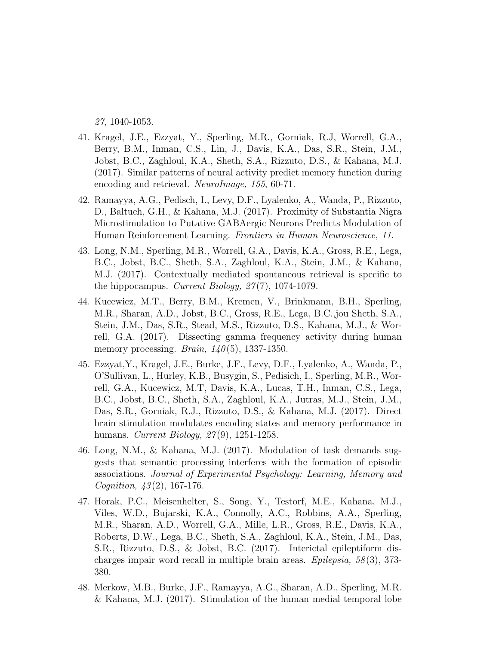27, 1040-1053.

- 41. Kragel, J.E., Ezzyat, Y., Sperling, M.R., Gorniak, R.J, Worrell, G.A., Berry, B.M., Inman, C.S., Lin, J., Davis, K.A., Das, S.R., Stein, J.M., Jobst, B.C., Zaghloul, K.A., Sheth, S.A., Rizzuto, D.S., & Kahana, M.J. (2017). Similar patterns of neural activity predict memory function during encoding and retrieval. NeuroImage, 155, 60-71.
- 42. Ramayya, A.G., Pedisch, I., Levy, D.F., Lyalenko, A., Wanda, P., Rizzuto, D., Baltuch, G.H., & Kahana, M.J. (2017). Proximity of Substantia Nigra Microstimulation to Putative GABAergic Neurons Predicts Modulation of Human Reinforcement Learning. Frontiers in Human Neuroscience, 11.
- 43. Long, N.M., Sperling, M.R., Worrell, G.A., Davis, K.A., Gross, R.E., Lega, B.C., Jobst, B.C., Sheth, S.A., Zaghloul, K.A., Stein, J.M., & Kahana, M.J. (2017). Contextually mediated spontaneous retrieval is specific to the hippocampus. Current Biology, 27 (7), 1074-1079.
- 44. Kucewicz, M.T., Berry, B.M., Kremen, V., Brinkmann, B.H., Sperling, M.R., Sharan, A.D., Jobst, B.C., Gross, R.E., Lega, B.C.,jou Sheth, S.A., Stein, J.M., Das, S.R., Stead, M.S., Rizzuto, D.S., Kahana, M.J., & Worrell, G.A. (2017). Dissecting gamma frequency activity during human memory processing. Brain,  $140(5)$ , 1337-1350.
- 45. Ezzyat,Y., Kragel, J.E., Burke, J.F., Levy, D.F., Lyalenko, A., Wanda, P., O'Sullivan, L., Hurley, K.B., Busygin, S., Pedisich, I., Sperling, M.R., Worrell, G.A., Kucewicz, M.T, Davis, K.A., Lucas, T.H., Inman, C.S., Lega, B.C., Jobst, B.C., Sheth, S.A., Zaghloul, K.A., Jutras, M.J., Stein, J.M., Das, S.R., Gorniak, R.J., Rizzuto, D.S., & Kahana, M.J. (2017). Direct brain stimulation modulates encoding states and memory performance in humans. *Current Biology*, 27(9), 1251-1258.
- 46. Long, N.M., & Kahana, M.J. (2017). Modulation of task demands suggests that semantic processing interferes with the formation of episodic associations. Journal of Experimental Psychology: Learning, Memory and Cognition, 43 (2), 167-176.
- 47. Horak, P.C., Meisenhelter, S., Song, Y., Testorf, M.E., Kahana, M.J., Viles, W.D., Bujarski, K.A., Connolly, A.C., Robbins, A.A., Sperling, M.R., Sharan, A.D., Worrell, G.A., Mille, L.R., Gross, R.E., Davis, K.A., Roberts, D.W., Lega, B.C., Sheth, S.A., Zaghloul, K.A., Stein, J.M., Das, S.R., Rizzuto, D.S., & Jobst, B.C. (2017). Interictal epileptiform discharges impair word recall in multiple brain areas.  $Epilepsia$ ,  $58(3)$ , 373-380.
- 48. Merkow, M.B., Burke, J.F., Ramayya, A.G., Sharan, A.D., Sperling, M.R. & Kahana, M.J. (2017). Stimulation of the human medial temporal lobe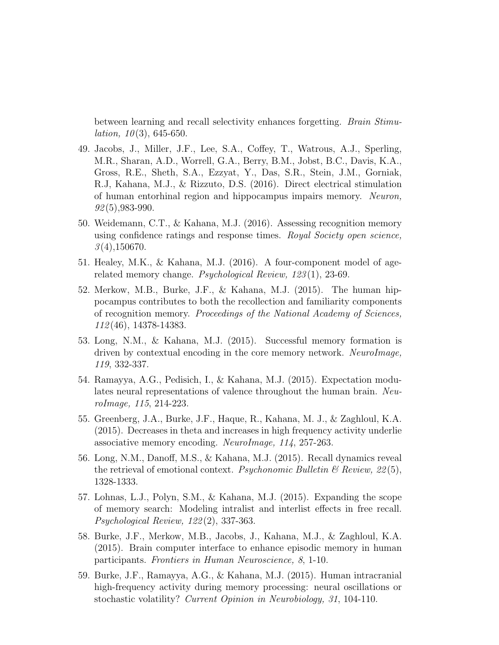between learning and recall selectivity enhances forgetting. Brain Stimu*lation*,  $10(3)$ , 645-650.

- 49. Jacobs, J., Miller, J.F., Lee, S.A., Coffey, T., Watrous, A.J., Sperling, M.R., Sharan, A.D., Worrell, G.A., Berry, B.M., Jobst, B.C., Davis, K.A., Gross, R.E., Sheth, S.A., Ezzyat, Y., Das, S.R., Stein, J.M., Gorniak, R.J, Kahana, M.J., & Rizzuto, D.S. (2016). Direct electrical stimulation of human entorhinal region and hippocampus impairs memory. Neuron,  $92(5)$ , 983-990.
- 50. Weidemann, C.T., & Kahana, M.J. (2016). Assessing recognition memory using confidence ratings and response times. Royal Society open science,  $3(4)$ ,150670.
- 51. Healey, M.K., & Kahana, M.J. (2016). A four-component model of agerelated memory change. Psychological Review, 123 (1), 23-69.
- 52. Merkow, M.B., Burke, J.F., & Kahana, M.J. (2015). The human hippocampus contributes to both the recollection and familiarity components of recognition memory. Proceedings of the National Academy of Sciences, 112 (46), 14378-14383.
- 53. Long, N.M., & Kahana, M.J. (2015). Successful memory formation is driven by contextual encoding in the core memory network. NeuroImage, 119, 332-337.
- 54. Ramayya, A.G., Pedisich, I., & Kahana, M.J. (2015). Expectation modulates neural representations of valence throughout the human brain. NeuroImage, 115, 214-223.
- 55. Greenberg, J.A., Burke, J.F., Haque, R., Kahana, M. J., & Zaghloul, K.A. (2015). Decreases in theta and increases in high frequency activity underlie associative memory encoding. NeuroImage, 114, 257-263.
- 56. Long, N.M., Danoff, M.S., & Kahana, M.J. (2015). Recall dynamics reveal the retrieval of emotional context. Psychonomic Bulletin  $\mathcal{B}$  Review, 22(5), 1328-1333.
- 57. Lohnas, L.J., Polyn, S.M., & Kahana, M.J. (2015). Expanding the scope of memory search: Modeling intralist and interlist effects in free recall. Psychological Review, 122 (2), 337-363.
- 58. Burke, J.F., Merkow, M.B., Jacobs, J., Kahana, M.J., & Zaghloul, K.A. (2015). Brain computer interface to enhance episodic memory in human participants. Frontiers in Human Neuroscience, 8, 1-10.
- 59. Burke, J.F., Ramayya, A.G., & Kahana, M.J. (2015). Human intracranial high-frequency activity during memory processing: neural oscillations or stochastic volatility? Current Opinion in Neurobiology, 31, 104-110.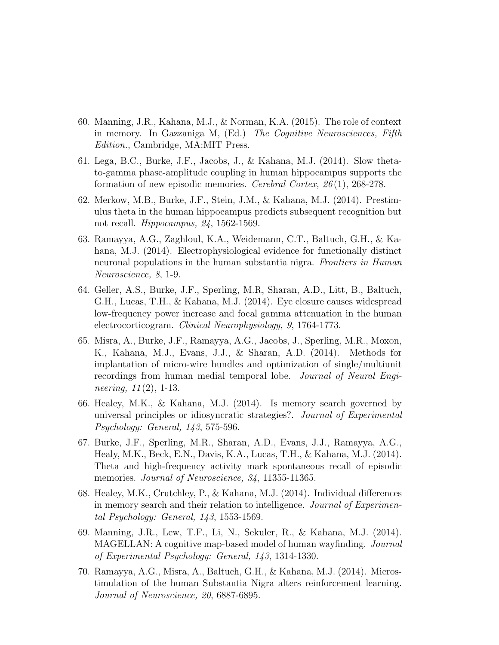- 60. Manning, J.R., Kahana, M.J., & Norman, K.A. (2015). The role of context in memory. In Gazzaniga M, (Ed.) The Cognitive Neurosciences, Fifth Edition., Cambridge, MA:MIT Press.
- 61. Lega, B.C., Burke, J.F., Jacobs, J., & Kahana, M.J. (2014). Slow thetato-gamma phase-amplitude coupling in human hippocampus supports the formation of new episodic memories. Cerebral Cortex, 26 (1), 268-278.
- 62. Merkow, M.B., Burke, J.F., Stein, J.M., & Kahana, M.J. (2014). Prestimulus theta in the human hippocampus predicts subsequent recognition but not recall. Hippocampus, 24, 1562-1569.
- 63. Ramayya, A.G., Zaghloul, K.A., Weidemann, C.T., Baltuch, G.H., & Kahana, M.J. (2014). Electrophysiological evidence for functionally distinct neuronal populations in the human substantia nigra. Frontiers in Human Neuroscience, 8, 1-9.
- 64. Geller, A.S., Burke, J.F., Sperling, M.R, Sharan, A.D., Litt, B., Baltuch, G.H., Lucas, T.H., & Kahana, M.J. (2014). Eye closure causes widespread low-frequency power increase and focal gamma attenuation in the human electrocorticogram. Clinical Neurophysiology, 9, 1764-1773.
- 65. Misra, A., Burke, J.F., Ramayya, A.G., Jacobs, J., Sperling, M.R., Moxon, K., Kahana, M.J., Evans, J.J., & Sharan, A.D. (2014). Methods for implantation of micro-wire bundles and optimization of single/multiunit recordings from human medial temporal lobe. Journal of Neural Engineering,  $11(2)$ , 1-13.
- 66. Healey, M.K., & Kahana, M.J. (2014). Is memory search governed by universal principles or idiosyncratic strategies?. Journal of Experimental Psychology: General, 143, 575-596.
- 67. Burke, J.F., Sperling, M.R., Sharan, A.D., Evans, J.J., Ramayya, A.G., Healy, M.K., Beck, E.N., Davis, K.A., Lucas, T.H., & Kahana, M.J. (2014). Theta and high-frequency activity mark spontaneous recall of episodic memories. Journal of Neuroscience, 34, 11355-11365.
- 68. Healey, M.K., Crutchley, P., & Kahana, M.J. (2014). Individual differences in memory search and their relation to intelligence. Journal of Experimental Psychology: General, 143, 1553-1569.
- 69. Manning, J.R., Lew, T.F., Li, N., Sekuler, R., & Kahana, M.J. (2014). MAGELLAN: A cognitive map-based model of human wayfinding. Journal of Experimental Psychology: General, 143, 1314-1330.
- 70. Ramayya, A.G., Misra, A., Baltuch, G.H., & Kahana, M.J. (2014). Microstimulation of the human Substantia Nigra alters reinforcement learning. Journal of Neuroscience, 20, 6887-6895.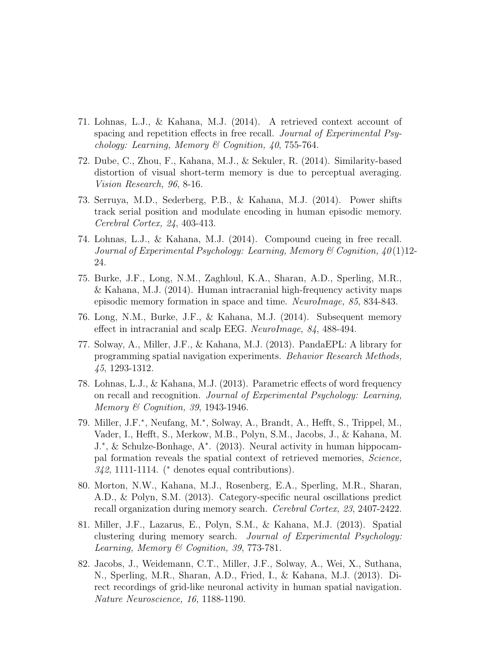- 71. Lohnas, L.J., & Kahana, M.J. (2014). A retrieved context account of spacing and repetition effects in free recall. Journal of Experimental Psychology: Learning, Memory & Cognition, 40, 755-764.
- 72. Dube, C., Zhou, F., Kahana, M.J., & Sekuler, R. (2014). Similarity-based distortion of visual short-term memory is due to perceptual averaging. Vision Research, 96, 8-16.
- 73. Serruya, M.D., Sederberg, P.B., & Kahana, M.J. (2014). Power shifts track serial position and modulate encoding in human episodic memory. Cerebral Cortex, 24, 403-413.
- 74. Lohnas, L.J., & Kahana, M.J. (2014). Compound cueing in free recall. Journal of Experimental Psychology: Learning, Memory & Cognition,  $40(1)12$ -24.
- 75. Burke, J.F., Long, N.M., Zaghloul, K.A., Sharan, A.D., Sperling, M.R., & Kahana, M.J. (2014). Human intracranial high-frequency activity maps episodic memory formation in space and time. NeuroImage, 85, 834-843.
- 76. Long, N.M., Burke, J.F., & Kahana, M.J. (2014). Subsequent memory effect in intracranial and scalp EEG. NeuroImage, 84, 488-494.
- 77. Solway, A., Miller, J.F., & Kahana, M.J. (2013). PandaEPL: A library for programming spatial navigation experiments. Behavior Research Methods, 45, 1293-1312.
- 78. Lohnas, L.J., & Kahana, M.J. (2013). Parametric effects of word frequency on recall and recognition. Journal of Experimental Psychology: Learning, Memory & Cognition, 39, 1943-1946.
- 79. Miller, J.F.<sup>∗</sup> , Neufang, M.<sup>∗</sup> , Solway, A., Brandt, A., Hefft, S., Trippel, M., Vader, I., Hefft, S., Merkow, M.B., Polyn, S.M., Jacobs, J., & Kahana, M. J.<sup>∗</sup> , & Schulze-Bonhage, A<sup>∗</sup> . (2013). Neural activity in human hippocampal formation reveals the spatial context of retrieved memories, Science, 342, 1111-1114. (<sup>∗</sup> denotes equal contributions).
- 80. Morton, N.W., Kahana, M.J., Rosenberg, E.A., Sperling, M.R., Sharan, A.D., & Polyn, S.M. (2013). Category-specific neural oscillations predict recall organization during memory search. Cerebral Cortex, 23, 2407-2422.
- 81. Miller, J.F., Lazarus, E., Polyn, S.M., & Kahana, M.J. (2013). Spatial clustering during memory search. Journal of Experimental Psychology: Learning, Memory & Cognition, 39, 773-781.
- 82. Jacobs, J., Weidemann, C.T., Miller, J.F., Solway, A., Wei, X., Suthana, N., Sperling, M.R., Sharan, A.D., Fried, I., & Kahana, M.J. (2013). Direct recordings of grid-like neuronal activity in human spatial navigation. Nature Neuroscience, 16, 1188-1190.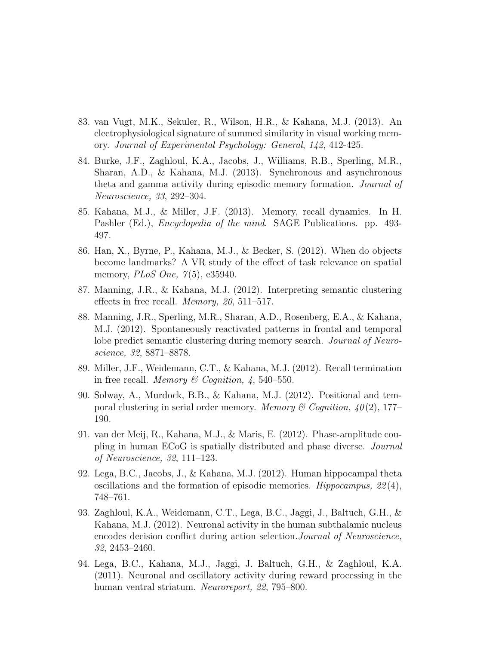- 83. van Vugt, M.K., Sekuler, R., Wilson, H.R., & Kahana, M.J. (2013). An electrophysiological signature of summed similarity in visual working memory. Journal of Experimental Psychology: General, 142, 412-425.
- 84. Burke, J.F., Zaghloul, K.A., Jacobs, J., Williams, R.B., Sperling, M.R., Sharan, A.D., & Kahana, M.J. (2013). Synchronous and asynchronous theta and gamma activity during episodic memory formation. Journal of Neuroscience, 33, 292–304.
- 85. Kahana, M.J., & Miller, J.F. (2013). Memory, recall dynamics. In H. Pashler (Ed.), *Encyclopedia of the mind.* SAGE Publications. pp. 493-497.
- 86. Han, X., Byrne, P., Kahana, M.J., & Becker, S. (2012). When do objects become landmarks? A VR study of the effect of task relevance on spatial memory, *PLoS One*,  $7(5)$ , e35940.
- 87. Manning, J.R., & Kahana, M.J. (2012). Interpreting semantic clustering effects in free recall. Memory, 20, 511–517.
- 88. Manning, J.R., Sperling, M.R., Sharan, A.D., Rosenberg, E.A., & Kahana, M.J. (2012). Spontaneously reactivated patterns in frontal and temporal lobe predict semantic clustering during memory search. Journal of Neuroscience, 32, 8871–8878.
- 89. Miller, J.F., Weidemann, C.T., & Kahana, M.J. (2012). Recall termination in free recall. Memory & Cognition,  $4, 540-550$ .
- 90. Solway, A., Murdock, B.B., & Kahana, M.J. (2012). Positional and temporal clustering in serial order memory. Memory & Cognition,  $40(2)$ , 177– 190.
- 91. van der Meij, R., Kahana, M.J., & Maris, E. (2012). Phase-amplitude coupling in human ECoG is spatially distributed and phase diverse. Journal of Neuroscience, 32, 111–123.
- 92. Lega, B.C., Jacobs, J., & Kahana, M.J. (2012). Human hippocampal theta oscillations and the formation of episodic memories. Hippocampus,  $22(4)$ , 748–761.
- 93. Zaghloul, K.A., Weidemann, C.T., Lega, B.C., Jaggi, J., Baltuch, G.H., & Kahana, M.J. (2012). Neuronal activity in the human subthalamic nucleus encodes decision conflict during action selection.Journal of Neuroscience, 32, 2453–2460.
- 94. Lega, B.C., Kahana, M.J., Jaggi, J. Baltuch, G.H., & Zaghloul, K.A. (2011). Neuronal and oscillatory activity during reward processing in the human ventral striatum. Neuroreport, 22, 795–800.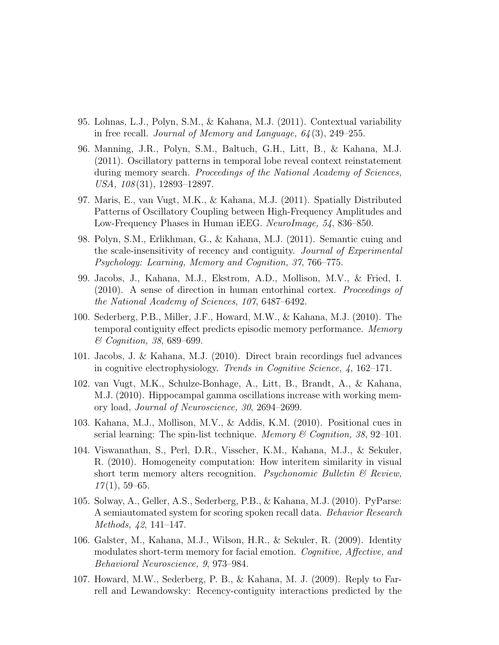- 95. Lohnas, L.J., Polyn, S.M., & Kahana, M.J. (2011). Contextual variability in free recall. *Journal of Memory and Language*,  $64(3)$ ,  $249-255$ .
- 96. Manning, J.R., Polyn, S.M., Baltuch, G.H., Litt, B., & Kahana, M.J. (2011). Oscillatory patterns in temporal lobe reveal context reinstatement during memory search. *Proceedings of the National Academy of Sciences*, USA, 108 (31), 12893–12897.
- 97. Maris, E., van Vugt, M.K., & Kahana, M.J. (2011). Spatially Distributed Patterns of Oscillatory Coupling between High-Frequency Amplitudes and Low-Frequency Phases in Human iEEG. NeuroImage, 54, 836–850.
- 98. Polyn, S.M., Erlikhman, G., & Kahana, M.J. (2011). Semantic cuing and the scale-insensitivity of recency and contiguity. Journal of Experimental Psychology: Learning, Memory and Cognition, 37, 766–775.
- 99. Jacobs, J., Kahana, M.J., Ekstrom, A.D., Mollison, M.V., & Fried, I. (2010). A sense of direction in human entorhinal cortex. Proceedings of the National Academy of Sciences, 107, 6487–6492.
- 100. Sederberg, P.B., Miller, J.F., Howard, M.W., & Kahana, M.J. (2010). The temporal contiguity effect predicts episodic memory performance. Memory & Cognition, 38, 689–699.
- 101. Jacobs, J. & Kahana, M.J. (2010). Direct brain recordings fuel advances in cognitive electrophysiology. Trends in Cognitive Science, 4, 162–171.
- 102. van Vugt, M.K., Schulze-Bonhage, A., Litt, B., Brandt, A., & Kahana, M.J. (2010). Hippocampal gamma oscillations increase with working memory load, Journal of Neuroscience, 30, 2694–2699.
- 103. Kahana, M.J., Mollison, M.V., & Addis, K.M. (2010). Positional cues in serial learning: The spin-list technique. Memory & Cognition, 38, 92-101.
- 104. Viswanathan, S., Perl, D.R., Visscher, K.M., Kahana, M.J., & Sekuler, R. (2010). Homogeneity computation: How interitem similarity in visual short term memory alters recognition. *Psychonomic Bulletin*  $\mathcal{B}$  Review,  $17(1), 59-65.$
- 105. Solway, A., Geller, A.S., Sederberg, P.B., & Kahana, M.J. (2010). PyParse: A semiautomated system for scoring spoken recall data. *Behavior Research* Methods, 42, 141–147.
- 106. Galster, M., Kahana, M.J., Wilson, H.R., & Sekuler, R. (2009). Identity modulates short-term memory for facial emotion. Cognitive, Affective, and Behavioral Neuroscience, 9, 973–984.
- 107. Howard, M.W., Sederberg, P. B., & Kahana, M. J. (2009). Reply to Farrell and Lewandowsky: Recency-contiguity interactions predicted by the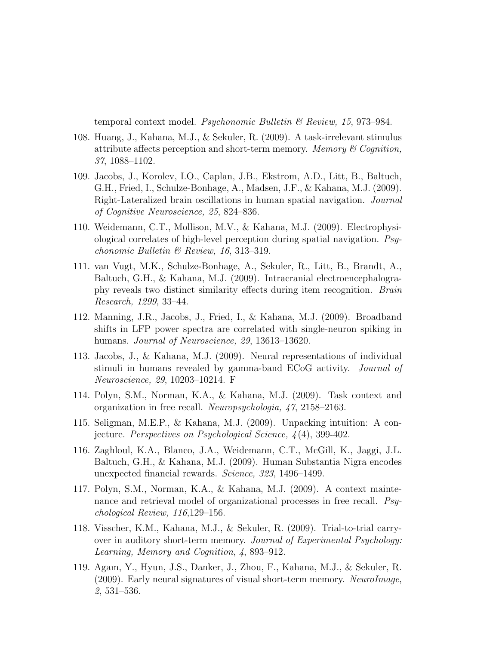temporal context model. Psychonomic Bulletin  $\mathcal B$  Review, 15, 973–984.

- 108. Huang, J., Kahana, M.J., & Sekuler, R. (2009). A task-irrelevant stimulus attribute affects perception and short-term memory. Memory  $\mathcal B$  Cognition, 37, 1088–1102.
- 109. Jacobs, J., Korolev, I.O., Caplan, J.B., Ekstrom, A.D., Litt, B., Baltuch, G.H., Fried, I., Schulze-Bonhage, A., Madsen, J.F., & Kahana, M.J. (2009). Right-Lateralized brain oscillations in human spatial navigation. Journal of Cognitive Neuroscience, 25, 824–836.
- 110. Weidemann, C.T., Mollison, M.V., & Kahana, M.J. (2009). Electrophysiological correlates of high-level perception during spatial navigation. Psychonomic Bulletin & Review, 16, 313–319.
- 111. van Vugt, M.K., Schulze-Bonhage, A., Sekuler, R., Litt, B., Brandt, A., Baltuch, G.H., & Kahana, M.J. (2009). Intracranial electroencephalography reveals two distinct similarity effects during item recognition. Brain Research, 1299, 33–44.
- 112. Manning, J.R., Jacobs, J., Fried, I., & Kahana, M.J. (2009). Broadband shifts in LFP power spectra are correlated with single-neuron spiking in humans. *Journal of Neuroscience*, 29, 13613–13620.
- 113. Jacobs, J., & Kahana, M.J. (2009). Neural representations of individual stimuli in humans revealed by gamma-band ECoG activity. Journal of Neuroscience, 29, 10203–10214. F
- 114. Polyn, S.M., Norman, K.A., & Kahana, M.J. (2009). Task context and organization in free recall. Neuropsychologia, 47, 2158–2163.
- 115. Seligman, M.E.P., & Kahana, M.J. (2009). Unpacking intuition: A conjecture. Perspectives on Psychological Science, 4 (4), 399-402.
- 116. Zaghloul, K.A., Blanco, J.A., Weidemann, C.T., McGill, K., Jaggi, J.L. Baltuch, G.H., & Kahana, M.J. (2009). Human Substantia Nigra encodes unexpected financial rewards. Science, 323, 1496–1499.
- 117. Polyn, S.M., Norman, K.A., & Kahana, M.J. (2009). A context maintenance and retrieval model of organizational processes in free recall. Psychological Review, 116,129–156.
- 118. Visscher, K.M., Kahana, M.J., & Sekuler, R. (2009). Trial-to-trial carryover in auditory short-term memory. Journal of Experimental Psychology: Learning, Memory and Cognition, 4, 893–912.
- 119. Agam, Y., Hyun, J.S., Danker, J., Zhou, F., Kahana, M.J., & Sekuler, R. (2009). Early neural signatures of visual short-term memory. NeuroImage, 2, 531–536.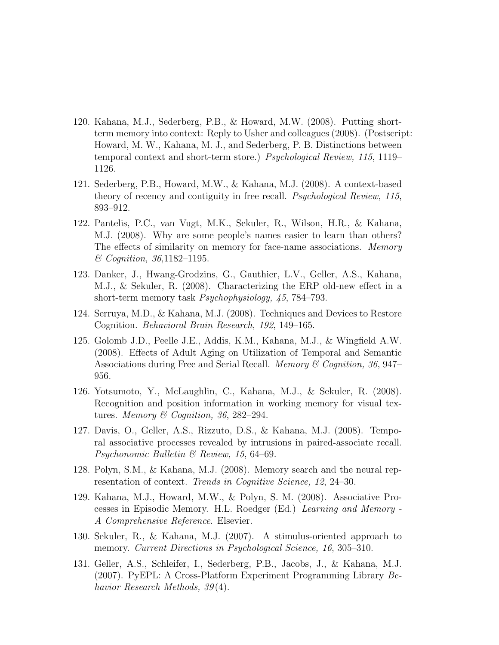- 120. Kahana, M.J., Sederberg, P.B., & Howard, M.W. (2008). Putting shortterm memory into context: Reply to Usher and colleagues (2008). (Postscript: Howard, M. W., Kahana, M. J., and Sederberg, P. B. Distinctions between temporal context and short-term store.) Psychological Review, 115, 1119– 1126.
- 121. Sederberg, P.B., Howard, M.W., & Kahana, M.J. (2008). A context-based theory of recency and contiguity in free recall. Psychological Review, 115, 893–912.
- 122. Pantelis, P.C., van Vugt, M.K., Sekuler, R., Wilson, H.R., & Kahana, M.J. (2008). Why are some people's names easier to learn than others? The effects of similarity on memory for face-name associations. Memory & Cognition, 36,1182–1195.
- 123. Danker, J., Hwang-Grodzins, G., Gauthier, L.V., Geller, A.S., Kahana, M.J., & Sekuler, R. (2008). Characterizing the ERP old-new effect in a short-term memory task Psychophysiology, 45, 784–793.
- 124. Serruya, M.D., & Kahana, M.J. (2008). Techniques and Devices to Restore Cognition. Behavioral Brain Research, 192, 149–165.
- 125. Golomb J.D., Peelle J.E., Addis, K.M., Kahana, M.J., & Wingfield A.W. (2008). Effects of Adult Aging on Utilization of Temporal and Semantic Associations during Free and Serial Recall. *Memory & Cognition, 36, 947–* 956.
- 126. Yotsumoto, Y., McLaughlin, C., Kahana, M.J., & Sekuler, R. (2008). Recognition and position information in working memory for visual textures. Memory & Cognition, 36, 282-294.
- 127. Davis, O., Geller, A.S., Rizzuto, D.S., & Kahana, M.J. (2008). Temporal associative processes revealed by intrusions in paired-associate recall. Psychonomic Bulletin & Review, 15, 64–69.
- 128. Polyn, S.M., & Kahana, M.J. (2008). Memory search and the neural representation of context. Trends in Cognitive Science, 12, 24–30.
- 129. Kahana, M.J., Howard, M.W., & Polyn, S. M. (2008). Associative Processes in Episodic Memory. H.L. Roedger (Ed.) Learning and Memory - A Comprehensive Reference. Elsevier.
- 130. Sekuler, R., & Kahana, M.J. (2007). A stimulus-oriented approach to memory. Current Directions in Psychological Science, 16, 305–310.
- 131. Geller, A.S., Schleifer, I., Sederberg, P.B., Jacobs, J., & Kahana, M.J. (2007). PyEPL: A Cross-Platform Experiment Programming Library Behavior Research Methods, 39 (4).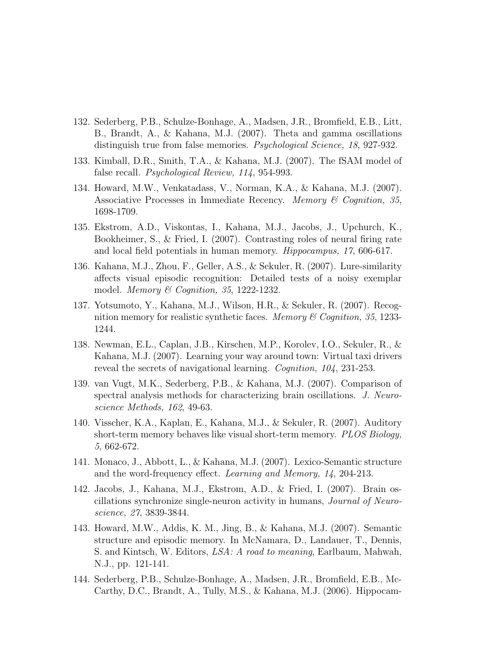- 132. Sederberg, P.B., Schulze-Bonhage, A., Madsen, J.R., Bromfield, E.B., Litt, B., Brandt, A., & Kahana, M.J. (2007). Theta and gamma oscillations distinguish true from false memories. Psychological Science, 18, 927-932.
- 133. Kimball, D.R., Smith, T.A., & Kahana, M.J. (2007). The fSAM model of false recall. Psychological Review, 114, 954-993.
- 134. Howard, M.W., Venkatadass, V., Norman, K.A., & Kahana, M.J. (2007). Associative Processes in Immediate Recency. Memory  $\mathcal C$  Cognition, 35, 1698-1709.
- 135. Ekstrom, A.D., Viskontas, I., Kahana, M.J., Jacobs, J., Upchurch, K., Bookheimer, S., & Fried, I. (2007). Contrasting roles of neural firing rate and local field potentials in human memory. Hippocampus, 17, 606-617.
- 136. Kahana, M.J., Zhou, F., Geller, A.S., & Sekuler, R. (2007). Lure-similarity affects visual episodic recognition: Detailed tests of a noisy exemplar model. Memory & Cognition, 35, 1222-1232.
- 137. Yotsumoto, Y., Kahana, M.J., Wilson, H.R., & Sekuler, R. (2007). Recognition memory for realistic synthetic faces. Memory  $\mathcal C$  Cognition, 35, 1233-1244.
- 138. Newman, E.L., Caplan, J.B., Kirschen, M.P., Korolev, I.O., Sekuler, R., & Kahana, M.J. (2007). Learning your way around town: Virtual taxi drivers reveal the secrets of navigational learning. Cognition, 104, 231-253.
- 139. van Vugt, M.K., Sederberg, P.B., & Kahana, M.J. (2007). Comparison of spectral analysis methods for characterizing brain oscillations. J. Neuroscience Methods, 162, 49-63.
- 140. Visscher, K.A., Kaplan, E., Kahana, M.J., & Sekuler, R. (2007). Auditory short-term memory behaves like visual short-term memory. PLOS Biology, 5, 662-672.
- 141. Monaco, J., Abbott, L., & Kahana, M.J. (2007). Lexico-Semantic structure and the word-frequency effect. Learning and Memory, 14, 204-213.
- 142. Jacobs, J., Kahana, M.J., Ekstrom, A.D., & Fried, I. (2007). Brain oscillations synchronize single-neuron activity in humans, Journal of Neuroscience, 27, 3839-3844.
- 143. Howard, M.W., Addis, K. M., Jing, B., & Kahana, M.J. (2007). Semantic structure and episodic memory. In McNamara, D., Landauer, T., Dennis, S. and Kintsch, W. Editors, LSA: A road to meaning, Earlbaum, Mahwah, N.J., pp. 121-141.
- 144. Sederberg, P.B., Schulze-Bonhage, A., Madsen, J.R., Bromfield, E.B., Mc-Carthy, D.C., Brandt, A., Tully, M.S., & Kahana, M.J. (2006). Hippocam-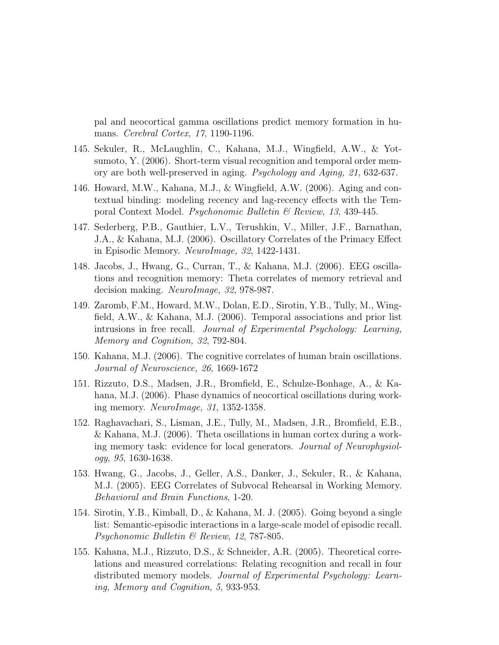pal and neocortical gamma oscillations predict memory formation in humans. Cerebral Cortex, 17, 1190-1196.

- 145. Sekuler, R., McLaughlin, C., Kahana, M.J., Wingfield, A.W., & Yotsumoto, Y. (2006). Short-term visual recognition and temporal order memory are both well-preserved in aging. Psychology and Aging, 21, 632-637.
- 146. Howard, M.W., Kahana, M.J., & Wingfield, A.W. (2006). Aging and contextual binding: modeling recency and lag-recency effects with the Temporal Context Model. Psychonomic Bulletin & Review, 13, 439-445.
- 147. Sederberg, P.B., Gauthier, L.V., Terushkin, V., Miller, J.F., Barnathan, J.A., & Kahana, M.J. (2006). Oscillatory Correlates of the Primacy Effect in Episodic Memory. NeuroImage, 32, 1422-1431.
- 148. Jacobs, J., Hwang, G., Curran, T., & Kahana, M.J. (2006). EEG oscillations and recognition memory: Theta correlates of memory retrieval and decision making. NeuroImage, 32, 978-987.
- 149. Zaromb, F.M., Howard, M.W., Dolan, E.D., Sirotin, Y.B., Tully, M., Wingfield, A.W., & Kahana, M.J. (2006). Temporal associations and prior list intrusions in free recall. Journal of Experimental Psychology: Learning, Memory and Cognition, 32, 792-804.
- 150. Kahana, M.J. (2006). The cognitive correlates of human brain oscillations. Journal of Neuroscience, 26, 1669-1672
- 151. Rizzuto, D.S., Madsen, J.R., Bromfield, E., Schulze-Bonhage, A., & Kahana, M.J. (2006). Phase dynamics of neocortical oscillations during working memory. NeuroImage, 31, 1352-1358.
- 152. Raghavachari, S., Lisman, J.E., Tully, M., Madsen, J.R., Bromfield, E.B., & Kahana, M.J. (2006). Theta oscillations in human cortex during a working memory task: evidence for local generators. Journal of Neurophysiology, 95, 1630-1638.
- 153. Hwang, G., Jacobs, J., Geller, A.S., Danker, J., Sekuler, R., & Kahana, M.J. (2005). EEG Correlates of Subvocal Rehearsal in Working Memory. Behavioral and Brain Functions, 1-20.
- 154. Sirotin, Y.B., Kimball, D., & Kahana, M. J. (2005). Going beyond a single list: Semantic-episodic interactions in a large-scale model of episodic recall. Psychonomic Bulletin & Review, 12, 787-805.
- 155. Kahana, M.J., Rizzuto, D.S., & Schneider, A.R. (2005). Theoretical correlations and measured correlations: Relating recognition and recall in four distributed memory models. Journal of Experimental Psychology: Learning, Memory and Cognition, 5, 933-953.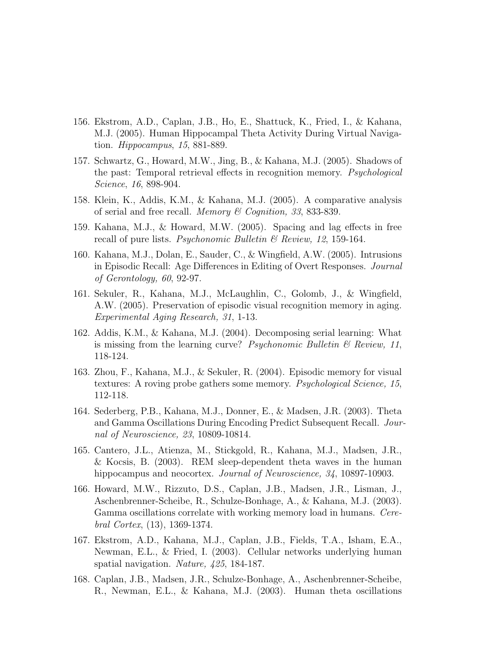- 156. Ekstrom, A.D., Caplan, J.B., Ho, E., Shattuck, K., Fried, I., & Kahana, M.J. (2005). Human Hippocampal Theta Activity During Virtual Navigation. Hippocampus, 15, 881-889.
- 157. Schwartz, G., Howard, M.W., Jing, B., & Kahana, M.J. (2005). Shadows of the past: Temporal retrieval effects in recognition memory. Psychological Science, 16, 898-904.
- 158. Klein, K., Addis, K.M., & Kahana, M.J. (2005). A comparative analysis of serial and free recall. Memory  $\mathcal C$  Cognition, 33, 833-839.
- 159. Kahana, M.J., & Howard, M.W. (2005). Spacing and lag effects in free recall of pure lists. *Psychonomic Bulletin & Review*, 12, 159-164.
- 160. Kahana, M.J., Dolan, E., Sauder, C., & Wingfield, A.W. (2005). Intrusions in Episodic Recall: Age Differences in Editing of Overt Responses. Journal of Gerontology, 60, 92-97.
- 161. Sekuler, R., Kahana, M.J., McLaughlin, C., Golomb, J., & Wingfield, A.W. (2005). Preservation of episodic visual recognition memory in aging. Experimental Aging Research, 31, 1-13.
- 162. Addis, K.M., & Kahana, M.J. (2004). Decomposing serial learning: What is missing from the learning curve? Psychonomic Bulletin  $\mathcal B$  Review, 11, 118-124.
- 163. Zhou, F., Kahana, M.J., & Sekuler, R. (2004). Episodic memory for visual textures: A roving probe gathers some memory. Psychological Science, 15, 112-118.
- 164. Sederberg, P.B., Kahana, M.J., Donner, E., & Madsen, J.R. (2003). Theta and Gamma Oscillations During Encoding Predict Subsequent Recall. Journal of Neuroscience, 23, 10809-10814.
- 165. Cantero, J.L., Atienza, M., Stickgold, R., Kahana, M.J., Madsen, J.R., & Kocsis, B. (2003). REM sleep-dependent theta waves in the human hippocampus and neocortex. *Journal of Neuroscience*, 34, 10897-10903.
- 166. Howard, M.W., Rizzuto, D.S., Caplan, J.B., Madsen, J.R., Lisman, J., Aschenbrenner-Scheibe, R., Schulze-Bonhage, A., & Kahana, M.J. (2003). Gamma oscillations correlate with working memory load in humans. Cerebral Cortex, (13), 1369-1374.
- 167. Ekstrom, A.D., Kahana, M.J., Caplan, J.B., Fields, T.A., Isham, E.A., Newman, E.L., & Fried, I. (2003). Cellular networks underlying human spatial navigation. Nature, 425, 184-187.
- 168. Caplan, J.B., Madsen, J.R., Schulze-Bonhage, A., Aschenbrenner-Scheibe, R., Newman, E.L., & Kahana, M.J. (2003). Human theta oscillations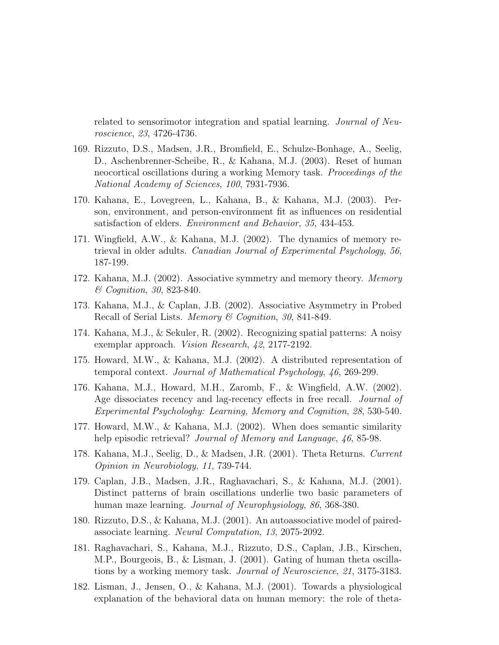related to sensorimotor integration and spatial learning. Journal of Neuroscience, 23, 4726-4736.

- 169. Rizzuto, D.S., Madsen, J.R., Bromfield, E., Schulze-Bonhage, A., Seelig, D., Aschenbrenner-Scheibe, R., & Kahana, M.J. (2003). Reset of human neocortical oscillations during a working Memory task. Proceedings of the National Academy of Sciences, 100, 7931-7936.
- 170. Kahana, E., Lovegreen, L., Kahana, B., & Kahana, M.J. (2003). Person, environment, and person-environment fit as influences on residential satisfaction of elders. Environment and Behavior, 35, 434-453.
- 171. Wingfield, A.W., & Kahana, M.J. (2002). The dynamics of memory retrieval in older adults. Canadian Journal of Experimental Psychology, 56, 187-199.
- 172. Kahana, M.J. (2002). Associative symmetry and memory theory. Memory & Cognition, 30, 823-840.
- 173. Kahana, M.J., & Caplan, J.B. (2002). Associative Asymmetry in Probed Recall of Serial Lists. Memory & Cognition, 30, 841-849.
- 174. Kahana, M.J., & Sekuler, R. (2002). Recognizing spatial patterns: A noisy exemplar approach. Vision Research, 42, 2177-2192.
- 175. Howard, M.W., & Kahana, M.J. (2002). A distributed representation of temporal context. Journal of Mathematical Psychology, 46, 269-299.
- 176. Kahana, M.J., Howard, M.H., Zaromb, F., & Wingfield, A.W. (2002). Age dissociates recency and lag-recency effects in free recall. *Journal of* Experimental Psychologhy: Learning, Memory and Cognition, 28, 530-540.
- 177. Howard, M.W., & Kahana, M.J. (2002). When does semantic similarity help episodic retrieval? *Journal of Memory and Language*,  $46, 85-98$ .
- 178. Kahana, M.J., Seelig, D., & Madsen, J.R. (2001). Theta Returns. Current Opinion in Neurobiology, 11, 739-744.
- 179. Caplan, J.B., Madsen, J.R., Raghavachari, S., & Kahana, M.J. (2001). Distinct patterns of brain oscillations underlie two basic parameters of human maze learning. Journal of Neurophysiology, 86, 368-380.
- 180. Rizzuto, D.S., & Kahana, M.J. (2001). An autoassociative model of pairedassociate learning. Neural Computation, 13, 2075-2092.
- 181. Raghavachari, S., Kahana, M.J., Rizzuto, D.S., Caplan, J.B., Kirschen, M.P., Bourgeois, B., & Lisman, J. (2001). Gating of human theta oscillations by a working memory task. Journal of Neuroscience, 21, 3175-3183.
- 182. Lisman, J., Jensen, O., & Kahana, M.J. (2001). Towards a physiological explanation of the behavioral data on human memory: the role of theta-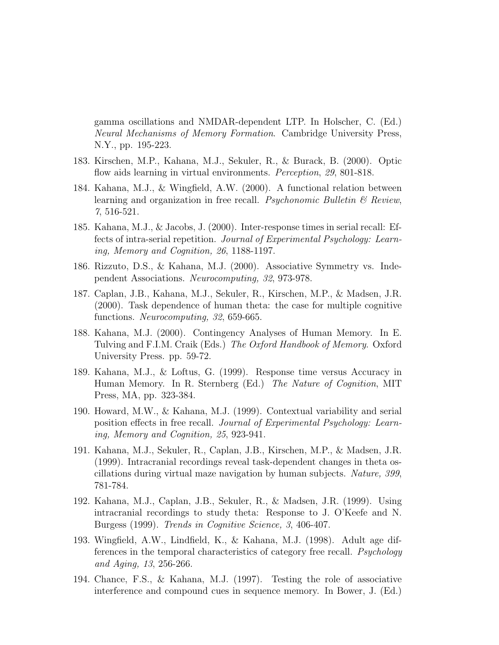gamma oscillations and NMDAR-dependent LTP. In Holscher, C. (Ed.) Neural Mechanisms of Memory Formation. Cambridge University Press, N.Y., pp. 195-223.

- 183. Kirschen, M.P., Kahana, M.J., Sekuler, R., & Burack, B. (2000). Optic flow aids learning in virtual environments. *Perception*, 29, 801-818.
- 184. Kahana, M.J., & Wingfield, A.W. (2000). A functional relation between learning and organization in free recall. *Psychonomic Bulletin*  $\mathcal{C}_{\mathcal{B}}$  *Review*, 7, 516-521.
- 185. Kahana, M.J., & Jacobs, J. (2000). Inter-response times in serial recall: Effects of intra-serial repetition. Journal of Experimental Psychology: Learning, Memory and Cognition, 26, 1188-1197.
- 186. Rizzuto, D.S., & Kahana, M.J. (2000). Associative Symmetry vs. Independent Associations. Neurocomputing, 32, 973-978.
- 187. Caplan, J.B., Kahana, M.J., Sekuler, R., Kirschen, M.P., & Madsen, J.R. (2000). Task dependence of human theta: the case for multiple cognitive functions. Neurocomputing, 32, 659-665.
- 188. Kahana, M.J. (2000). Contingency Analyses of Human Memory. In E. Tulving and F.I.M. Craik (Eds.) The Oxford Handbook of Memory. Oxford University Press. pp. 59-72.
- 189. Kahana, M.J., & Loftus, G. (1999). Response time versus Accuracy in Human Memory. In R. Sternberg (Ed.) The Nature of Cognition, MIT Press, MA, pp. 323-384.
- 190. Howard, M.W., & Kahana, M.J. (1999). Contextual variability and serial position effects in free recall. Journal of Experimental Psychology: Learning, Memory and Cognition, 25, 923-941.
- 191. Kahana, M.J., Sekuler, R., Caplan, J.B., Kirschen, M.P., & Madsen, J.R. (1999). Intracranial recordings reveal task-dependent changes in theta oscillations during virtual maze navigation by human subjects. Nature, 399, 781-784.
- 192. Kahana, M.J., Caplan, J.B., Sekuler, R., & Madsen, J.R. (1999). Using intracranial recordings to study theta: Response to J. O'Keefe and N. Burgess (1999). Trends in Cognitive Science, 3, 406-407.
- 193. Wingfield, A.W., Lindfield, K., & Kahana, M.J. (1998). Adult age differences in the temporal characteristics of category free recall. Psychology and Aging, 13, 256-266.
- 194. Chance, F.S., & Kahana, M.J. (1997). Testing the role of associative interference and compound cues in sequence memory. In Bower, J. (Ed.)